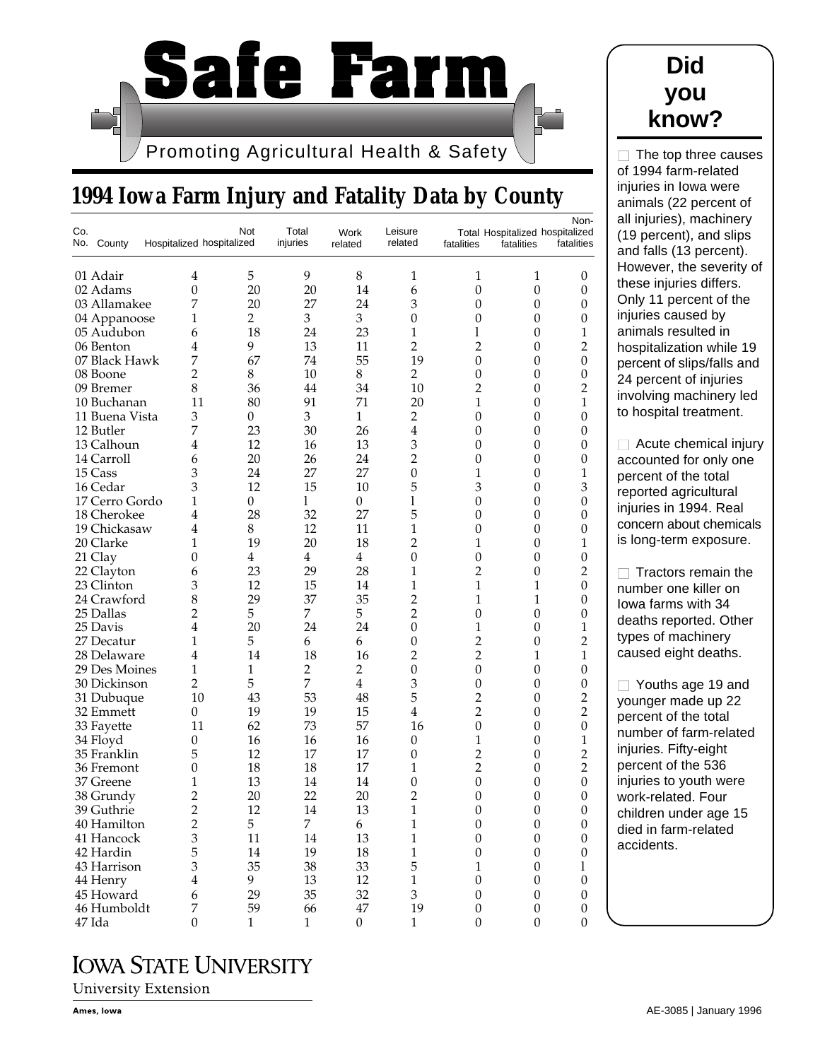

## **1994 Iowa Farm Injury and Fatality Data by County**

| Co. | No. County     | Hospitalized hospitalized | Not            | Total<br>injuries | Work<br>related  | Leisure<br>related          | fatalities       | Total Hospitalized hospitalized<br>fatalities | а<br>Non-<br>fatalities<br>а     |
|-----|----------------|---------------------------|----------------|-------------------|------------------|-----------------------------|------------------|-----------------------------------------------|----------------------------------|
|     | 01 Adair       | 4                         | 5              | 9                 | 8                | 1                           | 1                | 1                                             | ۲<br>$\boldsymbol{0}$            |
|     | 02 Adams       | $\theta$                  | 20             | 20                | 14               | 6                           | $\mathbf{0}$     | $\boldsymbol{0}$                              | tł<br>$\boldsymbol{0}$           |
|     | 03 Allamakee   | 7                         | 20             | 27                | 24               | 3                           | 0                | $\boldsymbol{0}$                              | C<br>$\boldsymbol{0}$            |
|     | 04 Appanoose   | 1                         | $\overline{2}$ | 3                 | 3                | $\boldsymbol{0}$            | 0                | 0                                             | ır<br>$\boldsymbol{0}$           |
|     | 05 Audubon     | 6                         | 18             | 24                | 23               | 1                           | l                | $\boldsymbol{0}$                              | 1<br>а                           |
|     | 06 Benton      | 4                         | 9              | 13                | 11               | $\overline{2}$              | $\overline{c}$   | 0                                             | $\overline{2}$<br>h              |
|     | 07 Black Hawk  | 7                         | 67             | 74                | 55               | 19                          | $\mathbf{0}$     | $\boldsymbol{0}$                              | $\mathbf{0}$                     |
|     | 08 Boone       | 2                         | 8              | 10                | 8                | $\overline{2}$              | 0                | $\boldsymbol{0}$                              | р<br>$\boldsymbol{0}$            |
|     | 09 Bremer      | 8                         | 36             | 44                | 34               | 10                          | $\overline{c}$   | 0                                             | $\overline{2}$<br>$\overline{c}$ |
|     | 10 Buchanan    | 11                        | 80             | 91                | 71               | 20                          | 1                | 0                                             | ır<br>$\mathbf{1}$               |
|     | 11 Buena Vista | 3                         | 0              | 3                 | $\mathbf{1}$     | 2                           | $\boldsymbol{0}$ | $\boldsymbol{0}$                              | to<br>$\mathbf{0}$               |
|     | 12 Butler      | 7                         | 23             | 30                | 26               | $\overline{4}$              | 0                | 0                                             | $\boldsymbol{0}$                 |
|     | 13 Calhoun     | 4                         | 12             | 16                | 13               | $\mathfrak z$               | 0                | $\boldsymbol{0}$                              | $\theta$                         |
|     | 14 Carroll     | 6                         | 20             | 26                | 24               | $\overline{2}$              | 0                | 0                                             | $\boldsymbol{0}$                 |
|     | 15 Cass        | 3                         | 24             | 27                | 27               | $\boldsymbol{0}$            | 1                | $\boldsymbol{0}$                              | а<br>1                           |
|     | 16 Cedar       | 3                         | 12             | 15                | 10               | 5                           | 3                | 0                                             | р<br>3                           |
|     | 17 Cerro Gordo | 1                         | $\overline{0}$ | 1                 | $\theta$         | 1                           | 0                | $\boldsymbol{0}$                              | r<br>$\boldsymbol{0}$            |
|     | 18 Cherokee    | 4                         | 28             | 32                | 27               | 5                           | 0                | 0                                             | ır<br>$\boldsymbol{0}$           |
|     | 19 Chickasaw   | 4                         | 8              | 12                | 11               | 1                           | 0                | $\boldsymbol{0}$                              | с<br>$\boldsymbol{0}$            |
|     |                |                           | 19             |                   |                  | $\overline{2}$              |                  |                                               | is                               |
|     | 20 Clarke      | 1                         |                | 20                | 18               |                             | 1                | 0                                             | 1                                |
|     | 21 Clay        | 0                         | $\overline{4}$ | $\overline{4}$    | $\overline{4}$   | $\boldsymbol{0}$            | 0                | 0                                             | $\boldsymbol{0}$                 |
|     | 22 Clayton     | 6                         | 23             | 29                | 28               | 1                           | $\overline{c}$   | 0                                             | $\overline{2}$                   |
|     | 23 Clinton     | 3                         | 12             | 15                | 14               | 1                           | 1                | 1                                             | $\mathbf{0}$<br>n                |
|     | 24 Crawford    | 8                         | 29             | 37                | 35               | $\overline{2}$              | 1                | 1                                             | $\boldsymbol{0}$<br>k            |
|     | 25 Dallas      | 2                         | 5              | 7                 | 5                | $\overline{2}$              | 0                | $\boldsymbol{0}$                              | $\boldsymbol{0}$<br>d            |
|     | 25 Davis       | 4                         | 20             | 24                | 24               | $\boldsymbol{0}$            | 1                | $\mathbf{0}$                                  | $\mathbf{1}$<br>t)               |
|     | 27 Decatur     | 1                         | 5              | 6                 | 6                | $\boldsymbol{0}$            | $\overline{2}$   | $\boldsymbol{0}$                              | $\overline{c}$                   |
|     | 28 Delaware    | 4                         | 14             | 18                | 16               | $\overline{2}$              | $\overline{c}$   | 1                                             | с<br>$\mathbf{1}$                |
|     | 29 Des Moines  | 1                         | 1              | $\overline{2}$    | $\overline{2}$   | $\mathbf{0}$                | $\mathbf{0}$     | 0                                             | $\boldsymbol{0}$                 |
|     | 30 Dickinson   | 2                         | 5              | 7                 | $\overline{4}$   | 3                           | 0                | 0                                             | $\boldsymbol{0}$                 |
|     | 31 Dubuque     | 10                        | 43             | 53                | 48               | 5                           | $\overline{c}$   | $\boldsymbol{0}$                              | $\overline{c}$<br>у              |
|     | 32 Emmett      | 0                         | 19             | 19                | 15               | $\overline{4}$              | $\overline{c}$   | $\boldsymbol{0}$                              | $\overline{c}$<br>р              |
|     | 33 Fayette     | 11                        | 62             | 73                | 57               | 16                          | $\mathbf{0}$     | $\boldsymbol{0}$                              | $\mathbf{0}$<br>n                |
|     | 34 Floyd       | 0                         | 16             | 16                | 16               | $\boldsymbol{0}$            | 1                | 0                                             | $\mathbf{1}$                     |
|     | 35 Franklin    | 5                         | 12             | 17                | 17               | $\boldsymbol{0}$            | $\overline{c}$   | $\boldsymbol{0}$                              | Ir<br>$\overline{c}$             |
|     | 36 Fremont     | 0                         | 18             | 18                | 17               | 1                           | $\overline{c}$   | 0                                             | $\overline{c}$<br>р              |
|     | 37 Greene      | 1                         | 13             | 14                | 14               | 0                           | 0                | 0                                             | $\mathbf{0}$<br>ır               |
|     | 38 Grundy      | 2                         | 20             | 22                | 20               | 2                           | 0                | 0                                             | $\boldsymbol{0}$<br>N            |
|     | 39 Guthrie     | $\overline{2}$            | 12             | 14                | 13               | 1                           | 0                | 0                                             | $\Omega$<br>C                    |
|     | 40 Hamilton    |                           | 5              | $\overline{7}$    | 6                | $\,1$                       | $\boldsymbol{0}$ | $\boldsymbol{0}$                              | $\boldsymbol{0}$<br>d            |
|     | 41 Hancock     | $\frac{2}{3}$             | 11             | 14                | 13               | $\,1$                       | $\mathbf{0}$     | $\boldsymbol{0}$                              | $\boldsymbol{0}$                 |
|     | 42 Hardin      | 5                         | 14             | 19                | 18               | $\mathbf{1}$                | $\boldsymbol{0}$ | $\mathbf{0}$                                  | a<br>$\boldsymbol{0}$            |
|     | 43 Harrison    | 3                         | 35             | 38                | 33               | 5                           | $\mathbf{1}$     | $\boldsymbol{0}$                              | 1                                |
|     | 44 Henry       | $\overline{\mathbf{4}}$   | 9              | 13                | 12               | $\mathbf{1}$                | $\boldsymbol{0}$ | $\boldsymbol{0}$                              | $\boldsymbol{0}$                 |
|     | 45 Howard      | 6                         | 29             | 35                | 32               | $\ensuremath{\mathfrak{Z}}$ | $\boldsymbol{0}$ | $\boldsymbol{0}$                              | $\boldsymbol{0}$                 |
|     | 46 Humboldt    | 7                         | 59             | 66                | 47               | 19                          | $\boldsymbol{0}$ | 0                                             | $\boldsymbol{0}$                 |
|     | 47 Ida         | 0                         | $\mathbf{1}$   | $\mathbf{1}$      | $\boldsymbol{0}$ | $\mathbf{1}$                | $\boldsymbol{0}$ | $\boldsymbol{0}$                              | $\boldsymbol{0}$                 |



 $\Box$  The top three causes of 1994 farm-related injuries in Iowa were animals (22 percent of all injuries), machinery 19 percent), and slips and falls (13 percent). However, the severity of hese injuries differs. Only 11 percent of the njuries caused by animals resulted in hospitalization while 19 percent of slips/falls and 24 percent of injuries nvolving machinery led o hospital treatment. □ Acute chemical injury

accounted for only one percent of the total eported agricultural njuries in 1994. Real concern about chemicals s long-term exposure.

■ Tractors remain the number one killer on Iowa farms with 34 deaths reported. Other ypes of machinery caused eight deaths.

■ Youths age 19 and younger made up 22 percent of the total number of farm-related njuries. Fifty-eight percent of the 536 njuries to youth were work-related. Four children under age 15 lied in farm-related accidents.

## **IOWA STATE UNIVERSITY**

**University Extension**